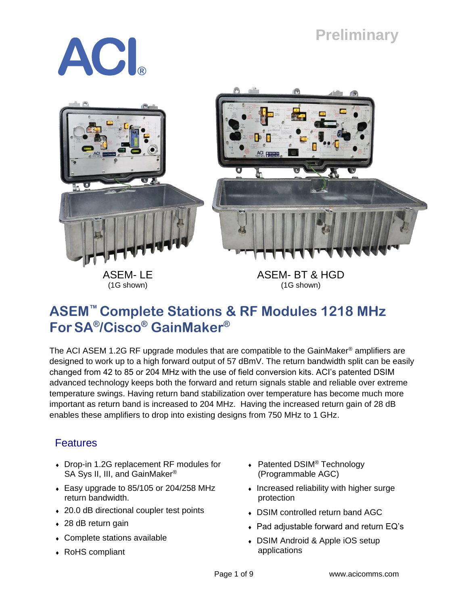# **Preliminary**





## **ASEM™ Complete Stations & RF Modules 1218 MHz ForSA® /Cisco® GainMaker®**

The ACI ASEM 1.2G RF upgrade modules that are compatible to the GainMaker<sup>®</sup> amplifiers are designed to work up to a high forward output of 57 dBmV. The return bandwidth split can be easily changed from 42 to 85 or 204 MHz with the use of field conversion kits. ACI's patented DSIM advanced technology keeps both the forward and return signals stable and reliable over extreme temperature swings. Having return band stabilization over temperature has become much more important as return band is increased to 204 MHz. Having the increased return gain of 28 dB enables these amplifiers to drop into existing designs from 750 MHz to 1 GHz.

### **Features**

- Drop-in 1.2G replacement RF modules for SA Sys II, III, and GainMaker<sup>®</sup>
- Easy upgrade to 85/105 or 204/258 MHz return bandwidth.
- ◆ 20.0 dB directional coupler test points
- ◆ 28 dB return gain
- Complete stations available
- RoHS compliant
- ◆ Patented DSIM<sup>®</sup> Technology (Programmable AGC)
- $\bullet$  Increased reliability with higher surge protection
- DSIM controlled return band AGC
- Pad adjustable forward and return EQ's
- DSIM Android & Apple iOS setup applications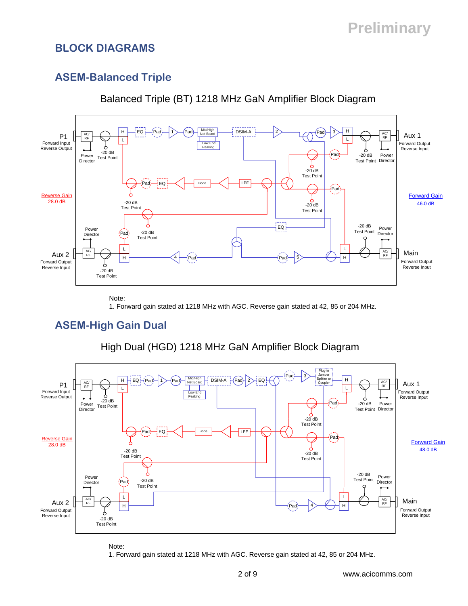### **BLOCK DIAGRAMS**

### **ASEM-Balanced Triple**



Balanced Triple (BT) 1218 MHz GaN Amplifier Block Diagram

Note:

1. Forward gain stated at 1218 MHz with AGC. Reverse gain stated at 42, 85 or 204 MHz.

### **ASEM-High Gain Dual**



High Dual (HGD) 1218 MHz GaN Amplifier Block Diagram

Note:

1. Forward gain stated at 1218 MHz with AGC. Reverse gain stated at 42, 85 or 204 MHz.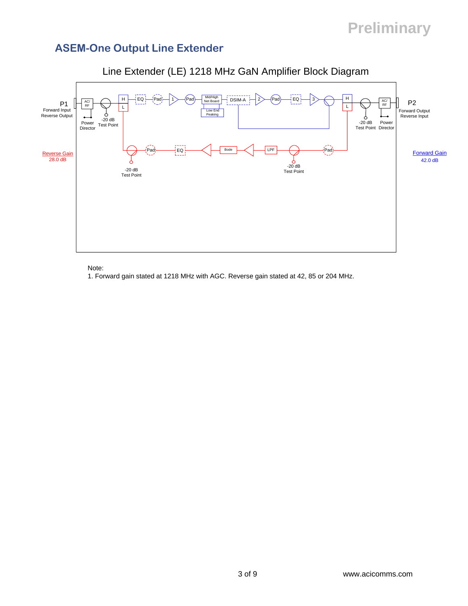# **Preliminary**

### **ASEM-One Output Line Extender**



#### Line Extender (LE) 1218 MHz GaN Amplifier Block Diagram

Note:

1. Forward gain stated at 1218 MHz with AGC. Reverse gain stated at 42, 85 or 204 MHz.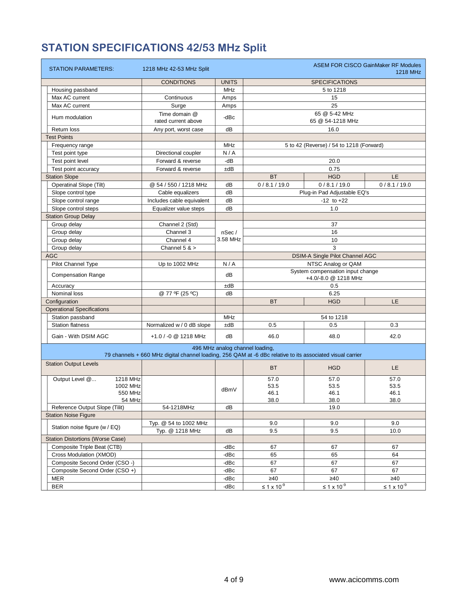## **STATION SPECIFICATIONS 42/53 MHz Split**

| STATION PARAMETERS:                     | 1218 MHz 42-53 MHz Split                                                                                   |              |                                 |                                          | <b>ASEM FOR CISCO GainMaker RF Modules</b><br>1218 MHz |  |  |
|-----------------------------------------|------------------------------------------------------------------------------------------------------------|--------------|---------------------------------|------------------------------------------|--------------------------------------------------------|--|--|
|                                         | <b>CONDITIONS</b>                                                                                          | <b>UNITS</b> |                                 | <b>SPECIFICATIONS</b>                    |                                                        |  |  |
| Housing passband                        |                                                                                                            | <b>MHz</b>   |                                 | 5 to 1218                                |                                                        |  |  |
| Max AC current                          | Continuous                                                                                                 | Amps         |                                 | 15                                       |                                                        |  |  |
| Max AC current                          | Surge                                                                                                      | Amps         |                                 | 25                                       |                                                        |  |  |
|                                         | Time domain @                                                                                              |              |                                 | 65 @ 5-42 MHz                            |                                                        |  |  |
| Hum modulation                          | rated current above                                                                                        | -dBc         |                                 | 65 @ 54-1218 MHz                         |                                                        |  |  |
| <b>Return loss</b>                      | Any port, worst case                                                                                       | dB           |                                 | 16.0                                     |                                                        |  |  |
| <b>Test Points</b>                      |                                                                                                            |              |                                 |                                          |                                                        |  |  |
| Frequency range                         |                                                                                                            | <b>MHz</b>   |                                 | 5 to 42 (Reverse) / 54 to 1218 (Forward) |                                                        |  |  |
| Test point type                         | Directional coupler                                                                                        | N/A          |                                 |                                          |                                                        |  |  |
| Test point level                        | Forward & reverse                                                                                          | -dB          |                                 | 20.0                                     |                                                        |  |  |
| Test point accuracy                     | Forward & reverse                                                                                          | ±dB          |                                 | 0.75                                     |                                                        |  |  |
| <b>Station Slope</b>                    |                                                                                                            |              | LE.<br><b>BT</b><br><b>HGD</b>  |                                          |                                                        |  |  |
| <b>Operatinal Slope (Tilt)</b>          | @ 54 / 550 / 1218 MHz                                                                                      | dВ           | 0/8.1/19.0                      | 0/8.1/19.0                               | 0/8.1/19.0                                             |  |  |
| Slope control type                      | Cable equalizers                                                                                           | dB           |                                 | Plug-in Pad Adjustable EQ's              |                                                        |  |  |
| Slope control range                     | Includes cable equivalent                                                                                  | dB           |                                 | $-12$ to $+22$                           |                                                        |  |  |
| Slope control steps                     | Equalizer value steps                                                                                      | dB           |                                 | 1.0                                      |                                                        |  |  |
| <b>Station Group Delay</b>              |                                                                                                            |              |                                 |                                          |                                                        |  |  |
| Group delay                             | Channel 2 (Std)                                                                                            |              |                                 | 37                                       |                                                        |  |  |
| Group delay                             | Channel 3                                                                                                  | nSec/        |                                 | 16                                       |                                                        |  |  |
| Group delay                             | Channel 4                                                                                                  | 3.58 MHz     |                                 | 10                                       |                                                        |  |  |
| Group delay                             | Channel $5 >$                                                                                              |              |                                 | 3                                        |                                                        |  |  |
| <b>AGC</b>                              |                                                                                                            |              |                                 | DSIM-A Single Pilot Channel AGC          |                                                        |  |  |
| Pilot Channel Type                      | Up to 1002 MHz                                                                                             | N/A          |                                 | NTSC Analog or QAM                       |                                                        |  |  |
|                                         |                                                                                                            | dB           |                                 | System compensation input change         |                                                        |  |  |
| <b>Compensation Range</b>               |                                                                                                            |              |                                 | +4.0/-8.0 @ 1218 MHz                     |                                                        |  |  |
| Accuracy                                |                                                                                                            | ±dB          |                                 | 0.5                                      |                                                        |  |  |
| Nominal loss                            | @ 77 ºF (25 °C)                                                                                            | dB           |                                 | 6.25                                     |                                                        |  |  |
| Configuration                           |                                                                                                            |              | <b>BT</b>                       | <b>HGD</b>                               | LE.                                                    |  |  |
| <b>Operational Specifications</b>       |                                                                                                            |              |                                 |                                          |                                                        |  |  |
| Station passband                        |                                                                                                            | <b>MHz</b>   |                                 | 54 to 1218                               |                                                        |  |  |
| <b>Station flatness</b>                 | Normalized w / 0 dB slope                                                                                  | ±dB          | 0.5                             | 0.5                                      | 0.3                                                    |  |  |
| Gain - With DSIM AGC                    | +1.0 / -0 @ 1218 MHz                                                                                       | dB           | 46.0                            | 48.0                                     | 42.0                                                   |  |  |
|                                         |                                                                                                            |              | 496 MHz analog channel loading, |                                          |                                                        |  |  |
|                                         | 79 channels + 660 MHz digital channel loading, 256 QAM at -6 dBc relative to its associated visual carrier |              |                                 |                                          |                                                        |  |  |
| <b>Station Output Levels</b>            |                                                                                                            |              | <b>BT</b>                       | <b>HGD</b>                               | LE.                                                    |  |  |
| Output Level @<br>1218 MHz              |                                                                                                            |              | 57.0                            | 57.0                                     | 57.0                                                   |  |  |
| 1002 MHz                                |                                                                                                            | dBmV         | 53.5                            | 53.5                                     | 53.5<br>46.1                                           |  |  |
| 550 MHz                                 |                                                                                                            |              |                                 | 46.1<br>46.1                             |                                                        |  |  |
| 54 MHz                                  |                                                                                                            |              | 38.0                            | 38.0<br>38.0                             |                                                        |  |  |
| Reference Output Slope (Tilit)          | 54-1218MHz                                                                                                 | dB           |                                 | 19.0                                     |                                                        |  |  |
| <b>Station Noise Figure</b>             |                                                                                                            |              |                                 |                                          |                                                        |  |  |
| Station noise figure (w / EQ)           | Typ. @ 54 to 1002 MHz<br>Typ. @ 1218 MHz                                                                   |              | 9.0<br>9.5                      | 9.0<br>9.5                               | 9.0<br>10.0                                            |  |  |
| <b>Station Distortions (Worse Case)</b> |                                                                                                            | dB           |                                 |                                          |                                                        |  |  |
| Composite Triple Beat (CTB)             |                                                                                                            | -dBc         | 67                              | 67                                       | 67                                                     |  |  |
| Cross Modulation (XMOD)                 |                                                                                                            | -dBc         | 65                              | 65                                       | 64                                                     |  |  |
| Composite Second Order (CSO -)          |                                                                                                            | -dBc         | 67                              | 67                                       | 67                                                     |  |  |
| Composite Second Order (CSO +)          |                                                                                                            | -dBc         | 67                              | 67                                       | 67                                                     |  |  |
| MER                                     |                                                                                                            | -dBc         | $\geq 40$                       | $\geq 40$                                | $\geq 40$                                              |  |  |
| <b>BER</b>                              |                                                                                                            | -dBc         | $≤ 1 x 10-9$                    | $\leq 1 \times 10^{-9}$                  | $\leq$ 1 x 10 $^9$                                     |  |  |
|                                         |                                                                                                            |              |                                 |                                          |                                                        |  |  |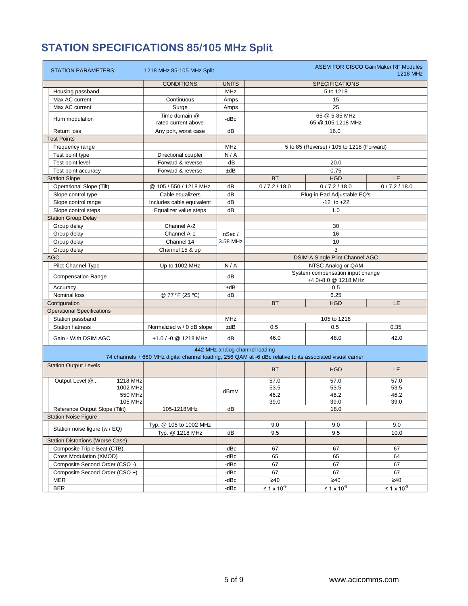## **STATION SPECIFICATIONS 85/105 MHz Split**

| <b>STATION PARAMETERS:</b>              | 1218 MHz 85-105 MHz Split                                                                                  |              |                                |                                           | <b>ASEM FOR CISCO GainMaker RF Modules</b><br>1218 MHz |  |  |  |  |
|-----------------------------------------|------------------------------------------------------------------------------------------------------------|--------------|--------------------------------|-------------------------------------------|--------------------------------------------------------|--|--|--|--|
|                                         | <b>CONDITIONS</b>                                                                                          | <b>UNITS</b> |                                | <b>SPECIFICATIONS</b>                     |                                                        |  |  |  |  |
| Housing passband                        |                                                                                                            | <b>MHz</b>   |                                | 5 to 1218                                 |                                                        |  |  |  |  |
| Max AC current                          | Continuous                                                                                                 | Amps         |                                | 15                                        |                                                        |  |  |  |  |
| Max AC current                          | Surge                                                                                                      | Amps         |                                | 25                                        |                                                        |  |  |  |  |
|                                         | Time domain @                                                                                              |              |                                | 65 @ 5-85 MHz                             |                                                        |  |  |  |  |
| Hum modulation                          | rated current above                                                                                        | -dBc         |                                | 65 @ 105-1218 MHz                         |                                                        |  |  |  |  |
| <b>Return loss</b>                      | Any port, worst case                                                                                       | dB           |                                | 16.0                                      |                                                        |  |  |  |  |
| <b>Test Points</b>                      |                                                                                                            |              |                                |                                           |                                                        |  |  |  |  |
| Frequency range                         |                                                                                                            | <b>MHz</b>   |                                | 5 to 85 (Reverse) / 105 to 1218 (Forward) |                                                        |  |  |  |  |
| Test point type                         | Directional coupler                                                                                        | N/A          |                                |                                           |                                                        |  |  |  |  |
| Test point level                        | Forward & reverse                                                                                          | -dB          |                                | 20.0                                      |                                                        |  |  |  |  |
| Test point accuracy                     | Forward & reverse                                                                                          | ±dB          |                                | 0.75                                      |                                                        |  |  |  |  |
| <b>Station Slope</b>                    |                                                                                                            |              | <b>BT</b>                      | <b>HGD</b>                                | <b>LE</b>                                              |  |  |  |  |
| <b>Operational Slope (Tilt)</b>         | @ 105 / 550 / 1218 MHz                                                                                     | dB           | 0/7.2/18.0                     | 0/7.2/18.0                                | 0/7.2/18.0                                             |  |  |  |  |
| Slope control type                      | Cable equalizers                                                                                           | dB           |                                | Plug-in Pad Adjustable EQ's               |                                                        |  |  |  |  |
| Slope control range                     | Includes cable equivalent                                                                                  | dB           |                                | $-12$ to $+22$                            |                                                        |  |  |  |  |
| Slope control steps                     | Equalizer value steps                                                                                      | dB           |                                | 1.0                                       |                                                        |  |  |  |  |
| <b>Station Group Delay</b>              |                                                                                                            |              |                                |                                           |                                                        |  |  |  |  |
| Group delay                             | Channel A-2                                                                                                |              |                                | 30                                        |                                                        |  |  |  |  |
| Group delay                             | Channel A-1                                                                                                | nSec/        | 16                             |                                           |                                                        |  |  |  |  |
| Group delay                             | Channel 14                                                                                                 | 3.58 MHz     |                                | 10                                        |                                                        |  |  |  |  |
| Group delay                             | Channel 15 & up                                                                                            |              | 3                              |                                           |                                                        |  |  |  |  |
| <b>AGC</b>                              |                                                                                                            |              |                                | <b>DSIM-A Single Pilot Channel AGC</b>    |                                                        |  |  |  |  |
| Pilot Channel Type                      | Up to 1002 MHz                                                                                             | N/A          | NTSC Analog or QAM             |                                           |                                                        |  |  |  |  |
|                                         |                                                                                                            | dB           |                                | System compensation input change          |                                                        |  |  |  |  |
| <b>Compensation Range</b>               |                                                                                                            |              |                                | +4.0/-8.0 @ 1218 MHz                      |                                                        |  |  |  |  |
| Accuracy                                |                                                                                                            | ±dB          |                                | 0.5                                       |                                                        |  |  |  |  |
| Nominal loss                            | @ 77 °F (25 °C)                                                                                            | dB           |                                | 6.25                                      |                                                        |  |  |  |  |
| Configuration                           |                                                                                                            |              | <b>BT</b>                      | <b>HGD</b>                                | LE.                                                    |  |  |  |  |
| <b>Operational Specifications</b>       |                                                                                                            |              |                                |                                           |                                                        |  |  |  |  |
| Station passband                        |                                                                                                            | <b>MHz</b>   |                                | 105 to 1218                               |                                                        |  |  |  |  |
| <b>Station flatness</b>                 | Normalized w / 0 dB slope                                                                                  | ±dB          | 0.5                            | 0.5                                       | 0.35                                                   |  |  |  |  |
| Gain - With DSIM AGC                    | +1.0 / -0 @ 1218 MHz                                                                                       | dB           | 46.0                           | 48.0                                      | 42.0                                                   |  |  |  |  |
|                                         |                                                                                                            |              | 442 MHz analog channel loading |                                           |                                                        |  |  |  |  |
|                                         | 74 channels + 660 MHz digital channel loading, 256 QAM at -6 dBc relative to its associated visual carrier |              |                                |                                           |                                                        |  |  |  |  |
| <b>Station Output Levels</b>            |                                                                                                            |              | <b>BT</b>                      | <b>HGD</b>                                | LE.                                                    |  |  |  |  |
| Output Level @<br>1218 MHz              |                                                                                                            |              | 57.0                           | 57.0                                      | 57.0                                                   |  |  |  |  |
| 1002 MHz                                |                                                                                                            | dBmV         | 53.5<br>53.5                   |                                           | 53.5                                                   |  |  |  |  |
| 550 MHz                                 |                                                                                                            |              | 46.2                           | 46.2                                      | 46.2                                                   |  |  |  |  |
| 105 MHz                                 |                                                                                                            |              | 39.0                           | 39.0                                      | 39.0                                                   |  |  |  |  |
| Reference Output Slope (Tilit)          | 105-1218MHz                                                                                                | dB           |                                | 18.0                                      |                                                        |  |  |  |  |
| <b>Station Noise Figure</b>             |                                                                                                            |              |                                |                                           |                                                        |  |  |  |  |
| Station noise figure (w / EQ)           | Typ. @ 105 to 1002 MHz                                                                                     |              | 9.0                            | 9.0                                       | 9.0                                                    |  |  |  |  |
|                                         | Typ. @ 1218 MHz                                                                                            | dB           | 9.5                            | 9.5                                       | 10.0                                                   |  |  |  |  |
| <b>Station Distortions (Worse Case)</b> |                                                                                                            |              |                                |                                           |                                                        |  |  |  |  |
| Composite Triple Beat (CTB)             |                                                                                                            | -dBc         | 67                             | 67                                        | 67                                                     |  |  |  |  |
| Cross Modulation (XMOD)                 |                                                                                                            | -dBc         | 65                             | 65                                        | 64                                                     |  |  |  |  |
| Composite Second Order (CSO -)          |                                                                                                            | -dBc         | 67                             | 67                                        | 67                                                     |  |  |  |  |
| Composite Second Order (CSO +)          |                                                                                                            | -dBc         | 67                             | 67                                        | 67                                                     |  |  |  |  |
| MER                                     |                                                                                                            | -dBc         | $\geq 40$                      | $\geq 40$                                 | $\geq 40$                                              |  |  |  |  |
| <b>BER</b>                              |                                                                                                            | -dBc         | $\leq 1 \times 10^{-9}$        | $≤ 1 × 10-9$                              | $\leq$ 1 x 10 $^9$                                     |  |  |  |  |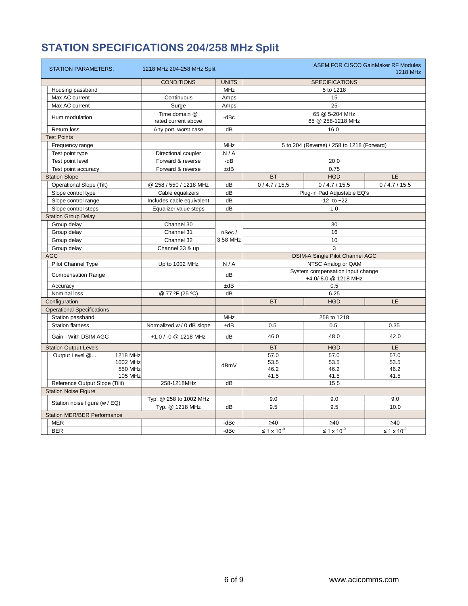## **STATION SPECIFICATIONS 204/258 MHz Split**

| <b>STATION PARAMETERS:</b>         | 1218 MHz 204-258 MHz Split |              | <b>ASEM FOR CISCO GainMaker RF Modules</b><br>1218 MHz |                                            |                         |  |  |  |
|------------------------------------|----------------------------|--------------|--------------------------------------------------------|--------------------------------------------|-------------------------|--|--|--|
|                                    | <b>CONDITIONS</b>          | <b>UNITS</b> |                                                        | <b>SPECIFICATIONS</b>                      |                         |  |  |  |
| Housing passband                   |                            | <b>MHz</b>   |                                                        |                                            |                         |  |  |  |
| Max AC current                     | Continuous                 | Amps         |                                                        | 15                                         |                         |  |  |  |
| Max AC current                     | Surge                      | Amps         |                                                        | 25                                         |                         |  |  |  |
|                                    | Time domain @              |              |                                                        | 65 @ 5-204 MHz                             |                         |  |  |  |
| Hum modulation                     | rated current above        | -dBc         |                                                        | 65 @ 258-1218 MHz                          |                         |  |  |  |
| Return loss                        | Any port, worst case       | dB           |                                                        | 16.0                                       |                         |  |  |  |
| <b>Test Points</b>                 |                            |              |                                                        |                                            |                         |  |  |  |
| Frequency range                    |                            | <b>MHz</b>   |                                                        | 5 to 204 (Reverse) / 258 to 1218 (Forward) |                         |  |  |  |
| Test point type                    | Directional coupler        | N/A          |                                                        |                                            |                         |  |  |  |
| Test point level                   | Forward & reverse          | -dB          |                                                        | 20.0                                       |                         |  |  |  |
| Test point accuracy                | Forward & reverse          | ±dB          |                                                        | 0.75                                       |                         |  |  |  |
| <b>Station Slope</b>               |                            |              | <b>BT</b>                                              | <b>HGD</b>                                 | LE.                     |  |  |  |
| <b>Operational Slope (Tilt)</b>    | @ 258 / 550 / 1218 MHz     | dB           | 0/4.7/15.5                                             | 0/4.7/15.5                                 | 0/4.7/15.5              |  |  |  |
| Slope control type                 | Cable equalizers           | dB           |                                                        | Plug-in Pad Adjustable EQ's                |                         |  |  |  |
| Slope control range                | Includes cable equivalent  | dB           |                                                        | $-12$ to $+22$                             |                         |  |  |  |
| Slope control steps                | Equalizer value steps      | dB           |                                                        | 1.0                                        |                         |  |  |  |
| <b>Station Group Delay</b>         |                            |              |                                                        |                                            |                         |  |  |  |
| Group delay                        | Channel 30                 |              |                                                        | 30                                         |                         |  |  |  |
| Group delay                        | Channel 31                 | nSec/        |                                                        | 16                                         |                         |  |  |  |
| Group delay                        | Channel 32                 | 3.58 MHz     | 10                                                     |                                            |                         |  |  |  |
| Group delay                        | Channel 33 & up            |              |                                                        | 3                                          |                         |  |  |  |
| <b>AGC</b>                         |                            |              |                                                        | DSIM-A Single Pilot Channel AGC            |                         |  |  |  |
| Pilot Channel Type                 | Up to 1002 MHz             | N/A          |                                                        | NTSC Analog or QAM                         |                         |  |  |  |
|                                    |                            | dB           |                                                        | System compensation input change           |                         |  |  |  |
| <b>Compensation Range</b>          |                            |              | +4.0/-8.0 @ 1218 MHz                                   |                                            |                         |  |  |  |
| Accuracy                           |                            | ±dB          | 0.5                                                    |                                            |                         |  |  |  |
| Nominal loss                       | @ 77 ºF (25 °C)            | dB           |                                                        | 6.25                                       |                         |  |  |  |
| Configuration                      |                            |              | <b>BT</b><br><b>HGD</b><br>LE.                         |                                            |                         |  |  |  |
| <b>Operational Specifications</b>  |                            |              |                                                        |                                            |                         |  |  |  |
| Station passband                   |                            | <b>MHz</b>   |                                                        | 258 to 1218                                |                         |  |  |  |
| <b>Station flatness</b>            | Normalized w / 0 dB slope  | ±dB          | 0.5                                                    | 0.5                                        | 0.35                    |  |  |  |
| Gain - With DSIM AGC               | +1.0 / -0 @ 1218 MHz       | dB           | 46.0                                                   | 48.0                                       | 42.0                    |  |  |  |
| <b>Station Output Levels</b>       |                            |              | <b>BT</b>                                              | <b>HGD</b>                                 | LE.                     |  |  |  |
| Output Level @<br>1218 MHz         |                            |              | 57.0                                                   | 57.0                                       | 57.0                    |  |  |  |
| 1002 MHz                           |                            | dBmV         | 53.5                                                   | 53.5                                       | 53.5                    |  |  |  |
| 550 MHz                            |                            |              | 46.2                                                   | 46.2                                       | 46.2                    |  |  |  |
| 105 MHz                            |                            |              | 41.5                                                   | 41.5                                       | 41.5                    |  |  |  |
| Reference Output Slope (Tilit)     | 258-1218MHz                | dB           |                                                        | 15.5                                       |                         |  |  |  |
| <b>Station Noise Figure</b>        |                            |              |                                                        |                                            |                         |  |  |  |
| Station noise figure (w / EQ)      | Typ. @ 258 to 1002 MHz     |              | 9.0                                                    | 9.0                                        | 9.0                     |  |  |  |
|                                    | Typ. @ 1218 MHz            | dB           | 9.5                                                    | 9.5                                        | 10.0                    |  |  |  |
| <b>Station MER/BER Performance</b> |                            |              |                                                        |                                            |                         |  |  |  |
| <b>MER</b>                         |                            | -dBc         | $\geq 40$                                              | $\geq 40$                                  | $\geq 40$               |  |  |  |
| <b>BER</b>                         |                            | -dBc         | $\leq 1 \times 10^{-9}$                                | $\leq 1 \times 10^{-9}$                    | $\leq 1 \times 10^{-9}$ |  |  |  |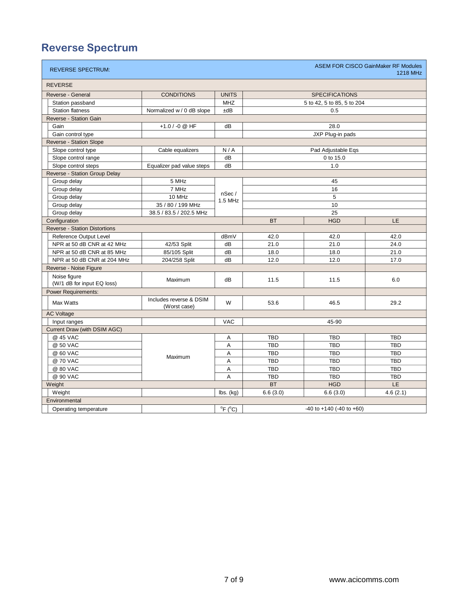## **Reverse Spectrum**

| <b>REVERSE</b><br><b>CONDITIONS</b><br><b>UNITS</b><br><b>SPECIFICATIONS</b><br>Reverse - General<br><b>MHZ</b><br>Station passband<br>5 to 42, 5 to 85, 5 to 204<br><b>Station flatness</b><br>Normalized w / 0 dB slope<br>±dB<br>0.5<br>Reverse - Station Gain<br>Gain<br>+1.0 / -0 @ HF<br>dB<br>28.0<br>Gain control type<br>JXP Plug-in pads<br>Reverse - Station Slope<br>Slope control type<br>N/A<br>Pad Adjustable Eqs<br>Cable equalizers<br>dB<br>Slope control range<br>0 to 15.0<br>dB<br>Slope control steps<br>Equalizer pad value steps<br>1.0<br>Reverse - Station Group Delay<br>Group delay<br>5 MHz<br>45<br>7 MHz<br>16<br>Group delay<br>nSec/<br>10 MHz<br>5<br>Group delay<br>1.5 MHz<br>Group delay<br>35 / 80 / 199 MHz<br>10<br>25<br>Group delay<br>38.5 / 83.5 / 202.5 MHz<br><b>BT</b><br><b>HGD</b><br>LE.<br>Configuration<br><b>Reverse - Station Distortions</b><br>Reference Output Level<br>dBmV<br>42.0<br>42.0<br>42.0<br>NPR at 50 dB CNR at 42 MHz<br>42/53 Split<br>21.0<br>dB<br>21.0<br>24.0<br>NPR at 50 dB CNR at 85 MHz<br>85/105 Split<br>dB<br>18.0<br>18.0<br>21.0<br>NPR at 50 dB CNR at 204 MHz<br>204/258 Split<br>dB<br>12.0<br>12.0<br>17.0<br>Reverse - Noise Figure<br>Noise figure<br>Maximum<br>11.5<br>dB<br>11.5<br>6.0<br>(W/1 dB for input EQ loss)<br><b>Power Requirements:</b><br>Includes reverse & DSIM<br>Max Watts<br>W<br>53.6<br>46.5<br>29.2<br>(Worst case)<br><b>AC Voltage</b><br>Input ranges<br><b>VAC</b><br>45-90<br>Current Draw (with DSIM AGC)<br>@ 45 VAC<br><b>TBD</b><br><b>TBD</b><br><b>TBD</b><br>Α<br>@ 50 VAC<br>Α<br><b>TBD</b><br><b>TBD</b><br><b>TBD</b><br>@ 60 VAC<br>A<br><b>TBD</b><br><b>TBD</b><br><b>TBD</b><br>Maximum<br>@ 70 VAC<br>Α<br><b>TBD</b><br><b>TBD</b><br><b>TBD</b><br>@ 80 VAC<br>A<br><b>TBD</b><br><b>TBD</b><br><b>TBD</b><br>@ 90 VAC<br>A<br><b>TBD</b><br><b>TBD</b><br><b>TBD</b><br>LE.<br><b>BT</b><br><b>HGD</b><br>Weight<br>Weight<br>6.6(3.0)<br>6.6(3.0)<br>4.6(2.1)<br>$\mathsf{lbs.}\left(\mathsf{kg}\right)$<br>Environmental<br>$^{\circ}$ F ( $^{\circ}$ C)<br>$-40$ to $+140$ ( $-40$ to $+60$ )<br>Operating temperature | <b>REVERSE SPECTRUM:</b> |  |  | <b>ASEM FOR CISCO GainMaker RF Modules</b><br>1218 MHz |
|---------------------------------------------------------------------------------------------------------------------------------------------------------------------------------------------------------------------------------------------------------------------------------------------------------------------------------------------------------------------------------------------------------------------------------------------------------------------------------------------------------------------------------------------------------------------------------------------------------------------------------------------------------------------------------------------------------------------------------------------------------------------------------------------------------------------------------------------------------------------------------------------------------------------------------------------------------------------------------------------------------------------------------------------------------------------------------------------------------------------------------------------------------------------------------------------------------------------------------------------------------------------------------------------------------------------------------------------------------------------------------------------------------------------------------------------------------------------------------------------------------------------------------------------------------------------------------------------------------------------------------------------------------------------------------------------------------------------------------------------------------------------------------------------------------------------------------------------------------------------------------------------------------------------------------------------------------------------------------------------------------------------------------------------------------------------------------------------------------------------------------------------------------------------|--------------------------|--|--|--------------------------------------------------------|
|                                                                                                                                                                                                                                                                                                                                                                                                                                                                                                                                                                                                                                                                                                                                                                                                                                                                                                                                                                                                                                                                                                                                                                                                                                                                                                                                                                                                                                                                                                                                                                                                                                                                                                                                                                                                                                                                                                                                                                                                                                                                                                                                                                     |                          |  |  |                                                        |
|                                                                                                                                                                                                                                                                                                                                                                                                                                                                                                                                                                                                                                                                                                                                                                                                                                                                                                                                                                                                                                                                                                                                                                                                                                                                                                                                                                                                                                                                                                                                                                                                                                                                                                                                                                                                                                                                                                                                                                                                                                                                                                                                                                     |                          |  |  |                                                        |
|                                                                                                                                                                                                                                                                                                                                                                                                                                                                                                                                                                                                                                                                                                                                                                                                                                                                                                                                                                                                                                                                                                                                                                                                                                                                                                                                                                                                                                                                                                                                                                                                                                                                                                                                                                                                                                                                                                                                                                                                                                                                                                                                                                     |                          |  |  |                                                        |
|                                                                                                                                                                                                                                                                                                                                                                                                                                                                                                                                                                                                                                                                                                                                                                                                                                                                                                                                                                                                                                                                                                                                                                                                                                                                                                                                                                                                                                                                                                                                                                                                                                                                                                                                                                                                                                                                                                                                                                                                                                                                                                                                                                     |                          |  |  |                                                        |
|                                                                                                                                                                                                                                                                                                                                                                                                                                                                                                                                                                                                                                                                                                                                                                                                                                                                                                                                                                                                                                                                                                                                                                                                                                                                                                                                                                                                                                                                                                                                                                                                                                                                                                                                                                                                                                                                                                                                                                                                                                                                                                                                                                     |                          |  |  |                                                        |
|                                                                                                                                                                                                                                                                                                                                                                                                                                                                                                                                                                                                                                                                                                                                                                                                                                                                                                                                                                                                                                                                                                                                                                                                                                                                                                                                                                                                                                                                                                                                                                                                                                                                                                                                                                                                                                                                                                                                                                                                                                                                                                                                                                     |                          |  |  |                                                        |
|                                                                                                                                                                                                                                                                                                                                                                                                                                                                                                                                                                                                                                                                                                                                                                                                                                                                                                                                                                                                                                                                                                                                                                                                                                                                                                                                                                                                                                                                                                                                                                                                                                                                                                                                                                                                                                                                                                                                                                                                                                                                                                                                                                     |                          |  |  |                                                        |
|                                                                                                                                                                                                                                                                                                                                                                                                                                                                                                                                                                                                                                                                                                                                                                                                                                                                                                                                                                                                                                                                                                                                                                                                                                                                                                                                                                                                                                                                                                                                                                                                                                                                                                                                                                                                                                                                                                                                                                                                                                                                                                                                                                     |                          |  |  |                                                        |
|                                                                                                                                                                                                                                                                                                                                                                                                                                                                                                                                                                                                                                                                                                                                                                                                                                                                                                                                                                                                                                                                                                                                                                                                                                                                                                                                                                                                                                                                                                                                                                                                                                                                                                                                                                                                                                                                                                                                                                                                                                                                                                                                                                     |                          |  |  |                                                        |
|                                                                                                                                                                                                                                                                                                                                                                                                                                                                                                                                                                                                                                                                                                                                                                                                                                                                                                                                                                                                                                                                                                                                                                                                                                                                                                                                                                                                                                                                                                                                                                                                                                                                                                                                                                                                                                                                                                                                                                                                                                                                                                                                                                     |                          |  |  |                                                        |
|                                                                                                                                                                                                                                                                                                                                                                                                                                                                                                                                                                                                                                                                                                                                                                                                                                                                                                                                                                                                                                                                                                                                                                                                                                                                                                                                                                                                                                                                                                                                                                                                                                                                                                                                                                                                                                                                                                                                                                                                                                                                                                                                                                     |                          |  |  |                                                        |
|                                                                                                                                                                                                                                                                                                                                                                                                                                                                                                                                                                                                                                                                                                                                                                                                                                                                                                                                                                                                                                                                                                                                                                                                                                                                                                                                                                                                                                                                                                                                                                                                                                                                                                                                                                                                                                                                                                                                                                                                                                                                                                                                                                     |                          |  |  |                                                        |
|                                                                                                                                                                                                                                                                                                                                                                                                                                                                                                                                                                                                                                                                                                                                                                                                                                                                                                                                                                                                                                                                                                                                                                                                                                                                                                                                                                                                                                                                                                                                                                                                                                                                                                                                                                                                                                                                                                                                                                                                                                                                                                                                                                     |                          |  |  |                                                        |
|                                                                                                                                                                                                                                                                                                                                                                                                                                                                                                                                                                                                                                                                                                                                                                                                                                                                                                                                                                                                                                                                                                                                                                                                                                                                                                                                                                                                                                                                                                                                                                                                                                                                                                                                                                                                                                                                                                                                                                                                                                                                                                                                                                     |                          |  |  |                                                        |
|                                                                                                                                                                                                                                                                                                                                                                                                                                                                                                                                                                                                                                                                                                                                                                                                                                                                                                                                                                                                                                                                                                                                                                                                                                                                                                                                                                                                                                                                                                                                                                                                                                                                                                                                                                                                                                                                                                                                                                                                                                                                                                                                                                     |                          |  |  |                                                        |
|                                                                                                                                                                                                                                                                                                                                                                                                                                                                                                                                                                                                                                                                                                                                                                                                                                                                                                                                                                                                                                                                                                                                                                                                                                                                                                                                                                                                                                                                                                                                                                                                                                                                                                                                                                                                                                                                                                                                                                                                                                                                                                                                                                     |                          |  |  |                                                        |
|                                                                                                                                                                                                                                                                                                                                                                                                                                                                                                                                                                                                                                                                                                                                                                                                                                                                                                                                                                                                                                                                                                                                                                                                                                                                                                                                                                                                                                                                                                                                                                                                                                                                                                                                                                                                                                                                                                                                                                                                                                                                                                                                                                     |                          |  |  |                                                        |
|                                                                                                                                                                                                                                                                                                                                                                                                                                                                                                                                                                                                                                                                                                                                                                                                                                                                                                                                                                                                                                                                                                                                                                                                                                                                                                                                                                                                                                                                                                                                                                                                                                                                                                                                                                                                                                                                                                                                                                                                                                                                                                                                                                     |                          |  |  |                                                        |
|                                                                                                                                                                                                                                                                                                                                                                                                                                                                                                                                                                                                                                                                                                                                                                                                                                                                                                                                                                                                                                                                                                                                                                                                                                                                                                                                                                                                                                                                                                                                                                                                                                                                                                                                                                                                                                                                                                                                                                                                                                                                                                                                                                     |                          |  |  |                                                        |
|                                                                                                                                                                                                                                                                                                                                                                                                                                                                                                                                                                                                                                                                                                                                                                                                                                                                                                                                                                                                                                                                                                                                                                                                                                                                                                                                                                                                                                                                                                                                                                                                                                                                                                                                                                                                                                                                                                                                                                                                                                                                                                                                                                     |                          |  |  |                                                        |
|                                                                                                                                                                                                                                                                                                                                                                                                                                                                                                                                                                                                                                                                                                                                                                                                                                                                                                                                                                                                                                                                                                                                                                                                                                                                                                                                                                                                                                                                                                                                                                                                                                                                                                                                                                                                                                                                                                                                                                                                                                                                                                                                                                     |                          |  |  |                                                        |
|                                                                                                                                                                                                                                                                                                                                                                                                                                                                                                                                                                                                                                                                                                                                                                                                                                                                                                                                                                                                                                                                                                                                                                                                                                                                                                                                                                                                                                                                                                                                                                                                                                                                                                                                                                                                                                                                                                                                                                                                                                                                                                                                                                     |                          |  |  |                                                        |
|                                                                                                                                                                                                                                                                                                                                                                                                                                                                                                                                                                                                                                                                                                                                                                                                                                                                                                                                                                                                                                                                                                                                                                                                                                                                                                                                                                                                                                                                                                                                                                                                                                                                                                                                                                                                                                                                                                                                                                                                                                                                                                                                                                     |                          |  |  |                                                        |
|                                                                                                                                                                                                                                                                                                                                                                                                                                                                                                                                                                                                                                                                                                                                                                                                                                                                                                                                                                                                                                                                                                                                                                                                                                                                                                                                                                                                                                                                                                                                                                                                                                                                                                                                                                                                                                                                                                                                                                                                                                                                                                                                                                     |                          |  |  |                                                        |
|                                                                                                                                                                                                                                                                                                                                                                                                                                                                                                                                                                                                                                                                                                                                                                                                                                                                                                                                                                                                                                                                                                                                                                                                                                                                                                                                                                                                                                                                                                                                                                                                                                                                                                                                                                                                                                                                                                                                                                                                                                                                                                                                                                     |                          |  |  |                                                        |
|                                                                                                                                                                                                                                                                                                                                                                                                                                                                                                                                                                                                                                                                                                                                                                                                                                                                                                                                                                                                                                                                                                                                                                                                                                                                                                                                                                                                                                                                                                                                                                                                                                                                                                                                                                                                                                                                                                                                                                                                                                                                                                                                                                     |                          |  |  |                                                        |
|                                                                                                                                                                                                                                                                                                                                                                                                                                                                                                                                                                                                                                                                                                                                                                                                                                                                                                                                                                                                                                                                                                                                                                                                                                                                                                                                                                                                                                                                                                                                                                                                                                                                                                                                                                                                                                                                                                                                                                                                                                                                                                                                                                     |                          |  |  |                                                        |
|                                                                                                                                                                                                                                                                                                                                                                                                                                                                                                                                                                                                                                                                                                                                                                                                                                                                                                                                                                                                                                                                                                                                                                                                                                                                                                                                                                                                                                                                                                                                                                                                                                                                                                                                                                                                                                                                                                                                                                                                                                                                                                                                                                     |                          |  |  |                                                        |
|                                                                                                                                                                                                                                                                                                                                                                                                                                                                                                                                                                                                                                                                                                                                                                                                                                                                                                                                                                                                                                                                                                                                                                                                                                                                                                                                                                                                                                                                                                                                                                                                                                                                                                                                                                                                                                                                                                                                                                                                                                                                                                                                                                     |                          |  |  |                                                        |
|                                                                                                                                                                                                                                                                                                                                                                                                                                                                                                                                                                                                                                                                                                                                                                                                                                                                                                                                                                                                                                                                                                                                                                                                                                                                                                                                                                                                                                                                                                                                                                                                                                                                                                                                                                                                                                                                                                                                                                                                                                                                                                                                                                     |                          |  |  |                                                        |
|                                                                                                                                                                                                                                                                                                                                                                                                                                                                                                                                                                                                                                                                                                                                                                                                                                                                                                                                                                                                                                                                                                                                                                                                                                                                                                                                                                                                                                                                                                                                                                                                                                                                                                                                                                                                                                                                                                                                                                                                                                                                                                                                                                     |                          |  |  |                                                        |
|                                                                                                                                                                                                                                                                                                                                                                                                                                                                                                                                                                                                                                                                                                                                                                                                                                                                                                                                                                                                                                                                                                                                                                                                                                                                                                                                                                                                                                                                                                                                                                                                                                                                                                                                                                                                                                                                                                                                                                                                                                                                                                                                                                     |                          |  |  |                                                        |
|                                                                                                                                                                                                                                                                                                                                                                                                                                                                                                                                                                                                                                                                                                                                                                                                                                                                                                                                                                                                                                                                                                                                                                                                                                                                                                                                                                                                                                                                                                                                                                                                                                                                                                                                                                                                                                                                                                                                                                                                                                                                                                                                                                     |                          |  |  |                                                        |
|                                                                                                                                                                                                                                                                                                                                                                                                                                                                                                                                                                                                                                                                                                                                                                                                                                                                                                                                                                                                                                                                                                                                                                                                                                                                                                                                                                                                                                                                                                                                                                                                                                                                                                                                                                                                                                                                                                                                                                                                                                                                                                                                                                     |                          |  |  |                                                        |
|                                                                                                                                                                                                                                                                                                                                                                                                                                                                                                                                                                                                                                                                                                                                                                                                                                                                                                                                                                                                                                                                                                                                                                                                                                                                                                                                                                                                                                                                                                                                                                                                                                                                                                                                                                                                                                                                                                                                                                                                                                                                                                                                                                     |                          |  |  |                                                        |
|                                                                                                                                                                                                                                                                                                                                                                                                                                                                                                                                                                                                                                                                                                                                                                                                                                                                                                                                                                                                                                                                                                                                                                                                                                                                                                                                                                                                                                                                                                                                                                                                                                                                                                                                                                                                                                                                                                                                                                                                                                                                                                                                                                     |                          |  |  |                                                        |
|                                                                                                                                                                                                                                                                                                                                                                                                                                                                                                                                                                                                                                                                                                                                                                                                                                                                                                                                                                                                                                                                                                                                                                                                                                                                                                                                                                                                                                                                                                                                                                                                                                                                                                                                                                                                                                                                                                                                                                                                                                                                                                                                                                     |                          |  |  |                                                        |
|                                                                                                                                                                                                                                                                                                                                                                                                                                                                                                                                                                                                                                                                                                                                                                                                                                                                                                                                                                                                                                                                                                                                                                                                                                                                                                                                                                                                                                                                                                                                                                                                                                                                                                                                                                                                                                                                                                                                                                                                                                                                                                                                                                     |                          |  |  |                                                        |
|                                                                                                                                                                                                                                                                                                                                                                                                                                                                                                                                                                                                                                                                                                                                                                                                                                                                                                                                                                                                                                                                                                                                                                                                                                                                                                                                                                                                                                                                                                                                                                                                                                                                                                                                                                                                                                                                                                                                                                                                                                                                                                                                                                     |                          |  |  |                                                        |
|                                                                                                                                                                                                                                                                                                                                                                                                                                                                                                                                                                                                                                                                                                                                                                                                                                                                                                                                                                                                                                                                                                                                                                                                                                                                                                                                                                                                                                                                                                                                                                                                                                                                                                                                                                                                                                                                                                                                                                                                                                                                                                                                                                     |                          |  |  |                                                        |
|                                                                                                                                                                                                                                                                                                                                                                                                                                                                                                                                                                                                                                                                                                                                                                                                                                                                                                                                                                                                                                                                                                                                                                                                                                                                                                                                                                                                                                                                                                                                                                                                                                                                                                                                                                                                                                                                                                                                                                                                                                                                                                                                                                     |                          |  |  |                                                        |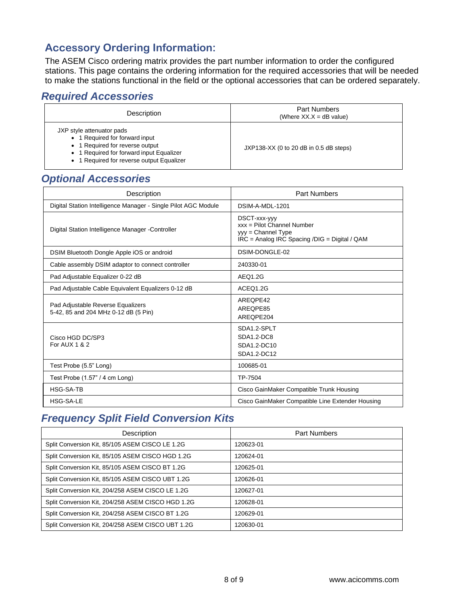### **Accessory Ordering Information:**

The ASEM Cisco ordering matrix provides the part number information to order the configured stations. This page contains the ordering information for the required accessories that will be needed to make the stations functional in the field or the optional accessories that can be ordered separately.

#### *Required Accessories*

| Description                                                                                                                                                                             | <b>Part Numbers</b><br>(Where $XX.X = dB$ value) |
|-----------------------------------------------------------------------------------------------------------------------------------------------------------------------------------------|--------------------------------------------------|
| JXP style attenuator pads<br>• 1 Required for forward input<br>• 1 Required for reverse output<br>• 1 Required for forward input Equalizer<br>• 1 Required for reverse output Equalizer | $JXP138-XX$ (0 to 20 dB in 0.5 dB steps)         |

#### *Optional Accessories*

| Description                                                               | <b>Part Numbers</b>                                                                                                  |
|---------------------------------------------------------------------------|----------------------------------------------------------------------------------------------------------------------|
| Digital Station Intelligence Manager - Single Pilot AGC Module            | DSIM-A-MDL-1201                                                                                                      |
| Digital Station Intelligence Manager - Controller                         | DSCT-xxx-yyy<br>$xxx =$ Pilot Channel Number<br>$yy =$ Channel Type<br>IRC = Analog IRC Spacing /DIG = Digital / QAM |
| DSIM Bluetooth Dongle Apple iOS or android                                | DSIM-DONGLE-02                                                                                                       |
| Cable assembly DSIM adaptor to connect controller                         | 240330-01                                                                                                            |
| Pad Adjustable Equalizer 0-22 dB                                          | AEQ1.2G                                                                                                              |
| Pad Adjustable Cable Equivalent Equalizers 0-12 dB                        | ACEQ1.2G                                                                                                             |
| Pad Adjustable Reverse Equalizers<br>5-42, 85 and 204 MHz 0-12 dB (5 Pin) | AREOPE42<br>AREOPE85<br>AREQPE204                                                                                    |
| Cisco HGD DC/SP3<br>For AUX 1 & 2                                         | SDA1.2-SPLT<br>SDA1.2-DC8<br>SDA1.2-DC10<br>SDA1.2-DC12                                                              |
| Test Probe (5.5" Long)                                                    | 100685-01                                                                                                            |
| Test Probe $(1.57" / 4$ cm Long)                                          | TP-7504                                                                                                              |
| <b>HSG-SA-TB</b>                                                          | Cisco GainMaker Compatible Trunk Housing                                                                             |
| <b>HSG-SA-LE</b>                                                          | Cisco GainMaker Compatible Line Extender Housing                                                                     |

#### *Frequency Split Field Conversion Kits*

| Description                                       | <b>Part Numbers</b> |
|---------------------------------------------------|---------------------|
| Split Conversion Kit, 85/105 ASEM CISCO LE 1.2G   | 120623-01           |
| Split Conversion Kit, 85/105 ASEM CISCO HGD 1.2G  | 120624-01           |
| Split Conversion Kit, 85/105 ASEM CISCO BT 1.2G   | 120625-01           |
| Split Conversion Kit, 85/105 ASEM CISCO UBT 1.2G  | 120626-01           |
| Split Conversion Kit, 204/258 ASEM CISCO LE 1.2G  | 120627-01           |
| Split Conversion Kit, 204/258 ASEM CISCO HGD 1.2G | 120628-01           |
| Split Conversion Kit, 204/258 ASEM CISCO BT 1.2G  | 120629-01           |
| Split Conversion Kit, 204/258 ASEM CISCO UBT 1.2G | 120630-01           |